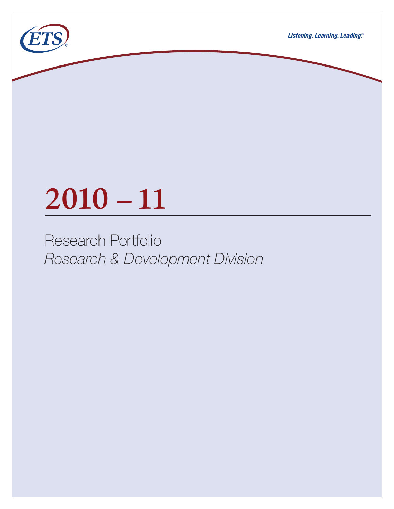

# **2010 –11**

Research Portfolio *Research & Development Division*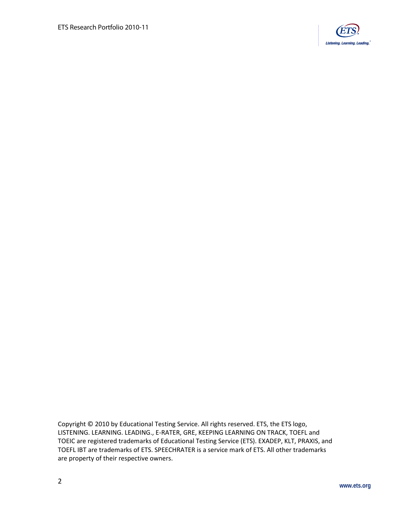

Copyright © 2010 by Educational Testing Service. All rights reserved. ETS, the ETS logo, LISTENING. LEARNING. LEADING., E-RATER, GRE, KEEPING LEARNING ON TRACK, TOEFL and TOEIC are registered trademarks of Educational Testing Service (ETS). EXADEP, KLT, PRAXIS, and TOEFL IBT are trademarks of ETS. SPEECHRATER is a service mark of ETS. All other trademarks are property of their respective owners.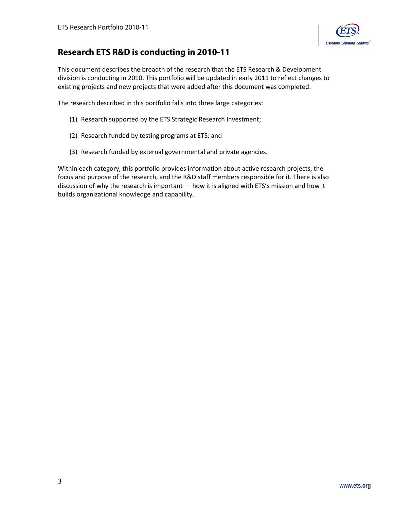

# **Research ETS R&D is conducting in 2010-11**

This document describes the breadth of the research that the ETS Research & Development division is conducting in 2010. This portfolio will be updated in early 2011 to reflect changes to existing projects and new projects that were added after this document was completed.

The research described in this portfolio falls into three large categories:

- (1) [Research supported by the ETS Strategic Research Investment;](#page-3-0)
- (2) Research [funded by testing programs at ETS;](#page-11-0) and
- (3) [Research funded by external governmental and private agencies.](#page-18-0)

Within each category, this portfolio provides information about active research projects, the focus and purpose of the research, and the R&D staff members responsible for it. There is also discussion of why the research is important — how it is aligned with ETS's mission and how it builds organizational knowledge and capability.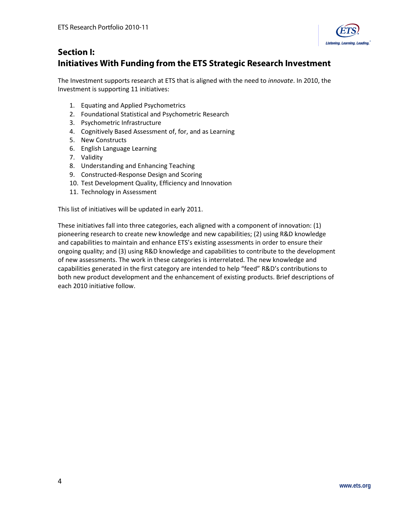

# <span id="page-3-0"></span>**Section I: Initiatives With Funding from the ETS Strategic Research Investment**

The Investment supports research at ETS that is aligned with the need to *innovate*. In 2010, the Investment is supporting 11 initiatives:

- 1. Equating and [Applied Psychometrics](#page-5-0)
- 2. [Foundational Statistical and Psychometric Research](#page-4-0)
- 3. [Psychometric Infrastructure](#page-6-0)
- 4. Cognitively [Based Assessment of, for, and as Learning](#page-10-0)
- 5. [New Constructs](#page-9-0)
- 6. [English Language Learning](#page-8-0)
- 7. [Validity](#page-7-0)
- 8. [Understanding and Enhancing Teaching](#page-9-0)
- 9. [Constructed-Response Design and Scoring](#page-7-0)
- 10. Test Development [Quality, Efficiency and Innovation](#page-6-0)
- 11. [Technology in Assessment](#page-4-0)

This list of initiatives will be updated in early 2011.

These initiatives fall into three categories, each aligned with a component of innovation: (1) pioneering research to create new knowledge and new capabilities; (2) using R&D knowledge and capabilities to maintain and enhance ETS's existing assessments in order to ensure their ongoing quality; and (3) using R&D knowledge and capabilities to contribute to the development of new assessments. The work in these categories is interrelated. The new knowledge and capabilities generated in the first category are intended to help "feed" R&D's contributions to both new product development and the enhancement of existing products. Brief descriptions of each 2010 initiative follow.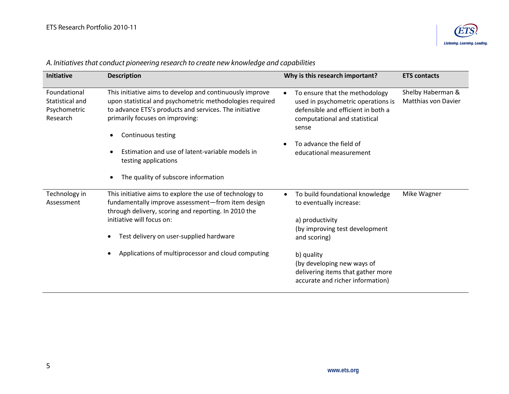

| <b>Initiative</b>                                           | <b>Description</b>                                                                                                                                                                                                                            | Why is this research important?                                                                                                                      | <b>ETS contacts</b>                             |
|-------------------------------------------------------------|-----------------------------------------------------------------------------------------------------------------------------------------------------------------------------------------------------------------------------------------------|------------------------------------------------------------------------------------------------------------------------------------------------------|-------------------------------------------------|
| Foundational<br>Statistical and<br>Psychometric<br>Research | This initiative aims to develop and continuously improve<br>upon statistical and psychometric methodologies required<br>to advance ETS's products and services. The initiative<br>primarily focuses on improving:                             | To ensure that the methodology<br>used in psychometric operations is<br>defensible and efficient in both a<br>computational and statistical<br>sense | Shelby Haberman &<br><b>Matthias von Davier</b> |
|                                                             | Continuous testing<br>Estimation and use of latent-variable models in<br>testing applications                                                                                                                                                 | To advance the field of<br>educational measurement                                                                                                   |                                                 |
|                                                             | The quality of subscore information                                                                                                                                                                                                           |                                                                                                                                                      |                                                 |
| Technology in<br>Assessment                                 | This initiative aims to explore the use of technology to<br>fundamentally improve assessment-from item design<br>through delivery, scoring and reporting. In 2010 the<br>initiative will focus on:<br>Test delivery on user-supplied hardware | To build foundational knowledge<br>to eventually increase:<br>a) productivity<br>(by improving test development<br>and scoring)                      | Mike Wagner                                     |
|                                                             | Applications of multiprocessor and cloud computing                                                                                                                                                                                            | b) quality<br>(by developing new ways of<br>delivering items that gather more<br>accurate and richer information)                                    |                                                 |

# <span id="page-4-0"></span>*A. Initiatives that conduct pioneering research to create new knowledge and capabilities*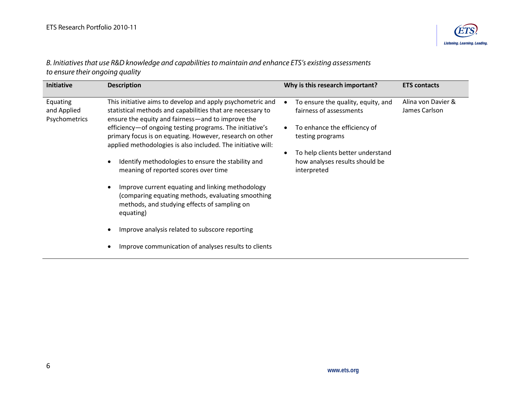

<span id="page-5-0"></span>*B. Initiatives that use R&D knowledge and capabilities to maintain and enhance ETS's existing assessments to ensure their ongoing quality* 

| Initiative                               | <b>Description</b>                                                                                                                                                                   | Why is this research important?                                                    | <b>ETS contacts</b>                 |
|------------------------------------------|--------------------------------------------------------------------------------------------------------------------------------------------------------------------------------------|------------------------------------------------------------------------------------|-------------------------------------|
| Equating<br>and Applied<br>Psychometrics | This initiative aims to develop and apply psychometric and<br>statistical methods and capabilities that are necessary to<br>ensure the equity and fairness—and to improve the        | To ensure the quality, equity, and<br>fairness of assessments                      | Alina von Davier &<br>James Carlson |
|                                          | efficiency-of ongoing testing programs. The initiative's<br>primary focus is on equating. However, research on other<br>applied methodologies is also included. The initiative will: | To enhance the efficiency of<br>testing programs                                   |                                     |
|                                          | Identify methodologies to ensure the stability and<br>$\bullet$<br>meaning of reported scores over time                                                                              | To help clients better understand<br>how analyses results should be<br>interpreted |                                     |
|                                          | Improve current equating and linking methodology<br>$\bullet$<br>(comparing equating methods, evaluating smoothing<br>methods, and studying effects of sampling on<br>equating)      |                                                                                    |                                     |
|                                          | Improve analysis related to subscore reporting<br>$\bullet$                                                                                                                          |                                                                                    |                                     |
|                                          | Improve communication of analyses results to clients                                                                                                                                 |                                                                                    |                                     |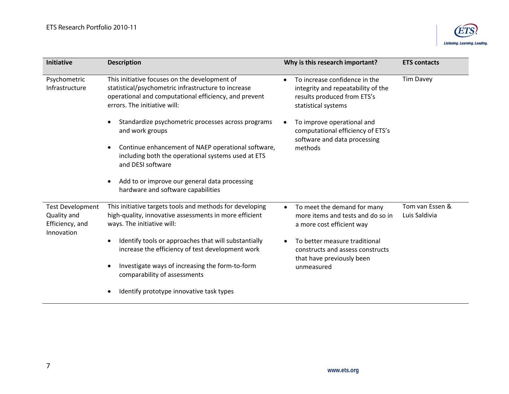

<span id="page-6-0"></span>

| Initiative                                                              | <b>Description</b>                                                                                                                                                                            | Why is this research important?                                                                                                        | <b>ETS contacts</b>              |
|-------------------------------------------------------------------------|-----------------------------------------------------------------------------------------------------------------------------------------------------------------------------------------------|----------------------------------------------------------------------------------------------------------------------------------------|----------------------------------|
| Psychometric<br>Infrastructure                                          | This initiative focuses on the development of<br>statistical/psychometric infrastructure to increase<br>operational and computational efficiency, and prevent<br>errors. The initiative will: | To increase confidence in the<br>$\bullet$<br>integrity and repeatability of the<br>results produced from ETS's<br>statistical systems | <b>Tim Davey</b>                 |
| $\bullet$<br>and work groups<br>$\bullet$<br>and DESI software          | Standardize psychometric processes across programs                                                                                                                                            | To improve operational and<br>computational efficiency of ETS's<br>software and data processing                                        |                                  |
|                                                                         | Continue enhancement of NAEP operational software,<br>including both the operational systems used at ETS                                                                                      | methods                                                                                                                                |                                  |
|                                                                         | Add to or improve our general data processing<br>$\bullet$<br>hardware and software capabilities                                                                                              |                                                                                                                                        |                                  |
| <b>Test Development</b><br>Quality and<br>Efficiency, and<br>Innovation | This initiative targets tools and methods for developing<br>high-quality, innovative assessments in more efficient<br>ways. The initiative will:                                              | To meet the demand for many<br>$\bullet$<br>more items and tests and do so in<br>a more cost efficient way                             | Tom van Essen &<br>Luis Saldivia |
|                                                                         | Identify tools or approaches that will substantially<br>$\bullet$<br>increase the efficiency of test development work                                                                         | To better measure traditional<br>constructs and assess constructs<br>that have previously been<br>unmeasured                           |                                  |
|                                                                         | Investigate ways of increasing the form-to-form<br>$\bullet$<br>comparability of assessments                                                                                                  |                                                                                                                                        |                                  |
|                                                                         | Identify prototype innovative task types                                                                                                                                                      |                                                                                                                                        |                                  |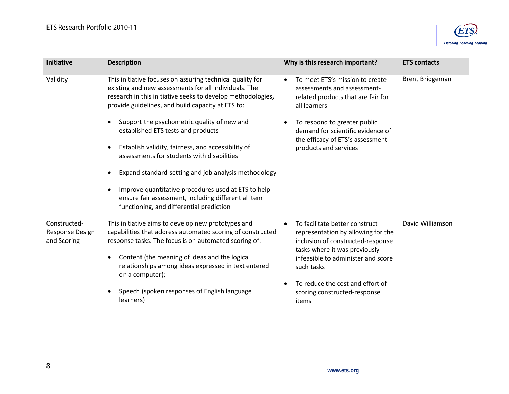

<span id="page-7-0"></span>

| <b>Initiative</b>                                     | <b>Description</b>                                                                                                                                                                                                                                                                                   | Why is this research important?                                                                                                                                                                | <b>ETS contacts</b>    |
|-------------------------------------------------------|------------------------------------------------------------------------------------------------------------------------------------------------------------------------------------------------------------------------------------------------------------------------------------------------------|------------------------------------------------------------------------------------------------------------------------------------------------------------------------------------------------|------------------------|
| Validity                                              | This initiative focuses on assuring technical quality for<br>existing and new assessments for all individuals. The<br>research in this initiative seeks to develop methodologies,<br>provide guidelines, and build capacity at ETS to:                                                               | To meet ETS's mission to create<br>$\bullet$<br>assessments and assessment-<br>related products that are fair for<br>all learners                                                              | <b>Brent Bridgeman</b> |
|                                                       | Support the psychometric quality of new and<br>established ETS tests and products<br>Establish validity, fairness, and accessibility of<br>assessments for students with disabilities<br>Expand standard-setting and job analysis methodology<br>Improve quantitative procedures used at ETS to help | To respond to greater public<br>demand for scientific evidence of<br>the efficacy of ETS's assessment<br>products and services                                                                 |                        |
|                                                       | ensure fair assessment, including differential item<br>functioning, and differential prediction                                                                                                                                                                                                      |                                                                                                                                                                                                |                        |
| Constructed-<br><b>Response Design</b><br>and Scoring | This initiative aims to develop new prototypes and<br>capabilities that address automated scoring of constructed<br>response tasks. The focus is on automated scoring of:<br>Content (the meaning of ideas and the logical<br>$\bullet$<br>relationships among ideas expressed in text entered       | To facilitate better construct<br>representation by allowing for the<br>inclusion of constructed-response<br>tasks where it was previously<br>infeasible to administer and score<br>such tasks | David Williamson       |
|                                                       | on a computer);<br>Speech (spoken responses of English language<br>learners)                                                                                                                                                                                                                         | To reduce the cost and effort of<br>scoring constructed-response<br>items                                                                                                                      |                        |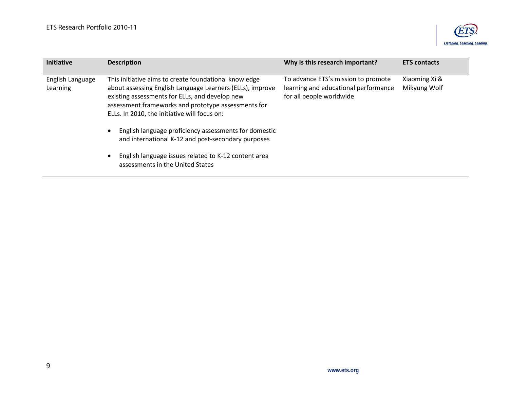

<span id="page-8-0"></span>

| <b>Initiative</b>            | <b>Description</b>                                                                                                                                                                                                                                                                                                                                                                                      | Why is this research important?                                                                         | <b>ETS contacts</b>           |
|------------------------------|---------------------------------------------------------------------------------------------------------------------------------------------------------------------------------------------------------------------------------------------------------------------------------------------------------------------------------------------------------------------------------------------------------|---------------------------------------------------------------------------------------------------------|-------------------------------|
| English Language<br>Learning | This initiative aims to create foundational knowledge<br>about assessing English Language Learners (ELLs), improve<br>existing assessments for ELLs, and develop new<br>assessment frameworks and prototype assessments for<br>ELLs. In 2010, the initiative will focus on:<br>English language proficiency assessments for domestic<br>$\bullet$<br>and international K-12 and post-secondary purposes | To advance ETS's mission to promote<br>learning and educational performance<br>for all people worldwide | Xiaoming Xi &<br>Mikyung Wolf |
|                              | English language issues related to K-12 content area<br>$\bullet$<br>assessments in the United States                                                                                                                                                                                                                                                                                                   |                                                                                                         |                               |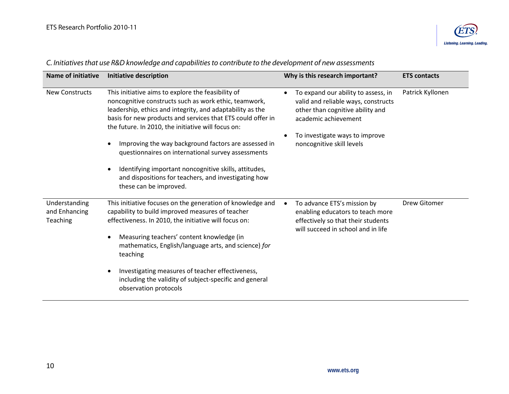

| <b>Name of initiative</b>                  | <b>Initiative description</b>                                                                                                                                                                                                                                                                                                                                                                                                                                                                                                                                                     | Why is this research important?                                                                                                                                                                       | <b>ETS contacts</b> |
|--------------------------------------------|-----------------------------------------------------------------------------------------------------------------------------------------------------------------------------------------------------------------------------------------------------------------------------------------------------------------------------------------------------------------------------------------------------------------------------------------------------------------------------------------------------------------------------------------------------------------------------------|-------------------------------------------------------------------------------------------------------------------------------------------------------------------------------------------------------|---------------------|
| <b>New Constructs</b>                      | This initiative aims to explore the feasibility of<br>noncognitive constructs such as work ethic, teamwork,<br>leadership, ethics and integrity, and adaptability as the<br>basis for new products and services that ETS could offer in<br>the future. In 2010, the initiative will focus on:<br>Improving the way background factors are assessed in<br>$\epsilon$<br>questionnaires on international survey assessments<br>Identifying important noncognitive skills, attitudes,<br>$\bullet$<br>and dispositions for teachers, and investigating how<br>these can be improved. | To expand our ability to assess, in<br>valid and reliable ways, constructs<br>other than cognitive ability and<br>academic achievement<br>To investigate ways to improve<br>noncognitive skill levels | Patrick Kyllonen    |
| Understanding<br>and Enhancing<br>Teaching | This initiative focuses on the generation of knowledge and<br>capability to build improved measures of teacher<br>effectiveness. In 2010, the initiative will focus on:<br>Measuring teachers' content knowledge (in<br>$\bullet$<br>mathematics, English/language arts, and science) for<br>teaching<br>Investigating measures of teacher effectiveness,<br>$\bullet$<br>including the validity of subject-specific and general<br>observation protocols                                                                                                                         | To advance ETS's mission by<br>enabling educators to teach more<br>effectively so that their students<br>will succeed in school and in life                                                           | Drew Gitomer        |

# <span id="page-9-0"></span>*C. Initiatives that use R&D knowledge and capabilities to contribute to the development of new assessments*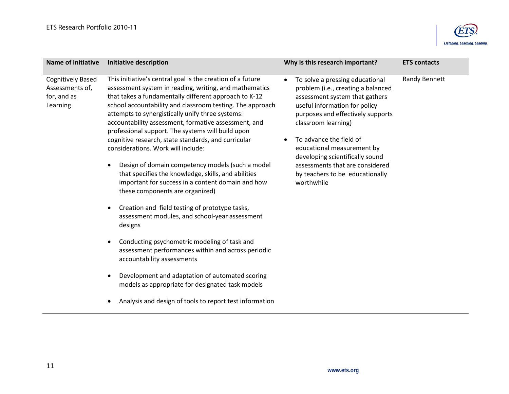

<span id="page-10-0"></span>

| <b>Cognitively Based</b><br>This initiative's central goal is the creation of a future<br>To solve a pressing educational<br>$\bullet$<br>Assessments of,<br>assessment system in reading, writing, and mathematics<br>problem (i.e., creating a balanced                                                                                                                                                                                                                                                                                                                                                                                                                                                                                                                                                                                                                                                                                                                                                                                                                                                                                                                                                                                                                                                                                                                                              | Randy Bennett |
|--------------------------------------------------------------------------------------------------------------------------------------------------------------------------------------------------------------------------------------------------------------------------------------------------------------------------------------------------------------------------------------------------------------------------------------------------------------------------------------------------------------------------------------------------------------------------------------------------------------------------------------------------------------------------------------------------------------------------------------------------------------------------------------------------------------------------------------------------------------------------------------------------------------------------------------------------------------------------------------------------------------------------------------------------------------------------------------------------------------------------------------------------------------------------------------------------------------------------------------------------------------------------------------------------------------------------------------------------------------------------------------------------------|---------------|
| that takes a fundamentally different approach to K-12<br>for, and as<br>assessment system that gathers<br>school accountability and classroom testing. The approach<br>Learning<br>useful information for policy<br>attempts to synergistically unify three systems:<br>purposes and effectively supports<br>accountability assessment, formative assessment, and<br>classroom learning)<br>professional support. The systems will build upon<br>cognitive research, state standards, and curricular<br>To advance the field of<br>considerations. Work will include:<br>educational measurement by<br>developing scientifically sound<br>Design of domain competency models (such a model<br>assessments that are considered<br>$\bullet$<br>that specifies the knowledge, skills, and abilities<br>by teachers to be educationally<br>important for success in a content domain and how<br>worthwhile<br>these components are organized)<br>Creation and field testing of prototype tasks,<br>$\bullet$<br>assessment modules, and school-year assessment<br>designs<br>Conducting psychometric modeling of task and<br>$\bullet$<br>assessment performances within and across periodic<br>accountability assessments<br>Development and adaptation of automated scoring<br>$\bullet$<br>models as appropriate for designated task models<br>Analysis and design of tools to report test information |               |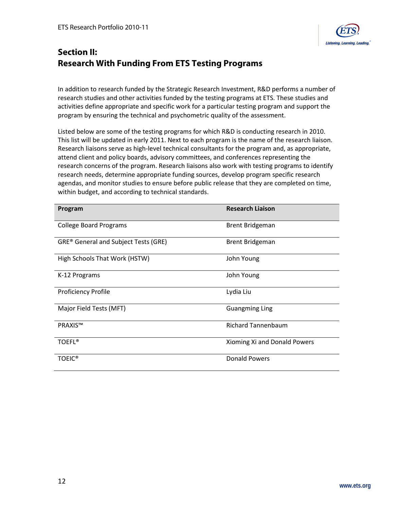

# <span id="page-11-0"></span>**Section II: Research With Funding From ETS Testing Programs**

In addition to research funded by the Strategic Research Investment, R&D performs a number of research studies and other activities funded by the testing programs at ETS. These studies and activities define appropriate and specific work for a particular testing program and support the program by ensuring the technical and psychometric quality of the assessment.

Listed below are some of the testing programs for which R&D is conducting research in 2010. This list will be updated in early 2011. Next to each program is the name of the research liaison. Research liaisons serve as high-level technical consultants for the program and, as appropriate, attend client and policy boards, advisory committees, and conferences representing the research concerns of the program. Research liaisons also work with testing programs to identify research needs, determine appropriate funding sources, develop program specific research agendas, and monitor studies to ensure before public release that they are completed on time, within budget, and according to technical standards.

| Program                                     | <b>Research Liaison</b>      |
|---------------------------------------------|------------------------------|
| <b>College Board Programs</b>               | <b>Brent Bridgeman</b>       |
| <b>GRE®</b> General and Subject Tests (GRE) | <b>Brent Bridgeman</b>       |
| High Schools That Work (HSTW)               | John Young                   |
| K-12 Programs                               | John Young                   |
| <b>Proficiency Profile</b>                  | Lydia Liu                    |
| Major Field Tests (MFT)                     | <b>Guangming Ling</b>        |
| <b>PRAXIS™</b>                              | <b>Richard Tannenbaum</b>    |
| <b>TOEFL®</b>                               | Xioming Xi and Donald Powers |
| <b>TOEIC®</b>                               | <b>Donald Powers</b>         |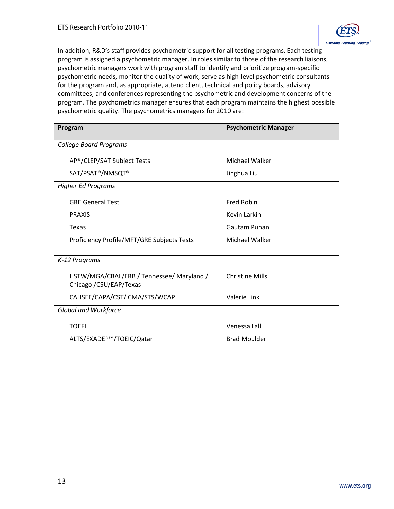

In addition, R&D's staff provides psychometric support for all testing programs. Each testing program is assigned a psychometric manager. In roles similar to those of the research liaisons, psychometric managers work with program staff to identify and prioritize program-specific psychometric needs, monitor the quality of work, serve as high-level psychometric consultants for the program and, as appropriate, attend client, technical and policy boards, advisory committees, and conferences representing the psychometric and development concerns of the program. The psychometrics manager ensures that each program maintains the highest possible psychometric quality. The psychometrics managers for 2010 are:

| Program                                                              | <b>Psychometric Manager</b> |
|----------------------------------------------------------------------|-----------------------------|
| <b>College Board Programs</b>                                        |                             |
| AP®/CLEP/SAT Subject Tests                                           | Michael Walker              |
| SAT/PSAT <sup>®</sup> /NMSQT <sup>®</sup>                            | Jinghua Liu                 |
| <b>Higher Ed Programs</b>                                            |                             |
| <b>GRF General Test</b>                                              | <b>Fred Robin</b>           |
| <b>PRAXIS</b>                                                        | Kevin Larkin                |
| <b>Texas</b>                                                         | Gautam Puhan                |
| Proficiency Profile/MFT/GRE Subjects Tests                           | <b>Michael Walker</b>       |
| K-12 Programs                                                        |                             |
| HSTW/MGA/CBAL/ERB / Tennessee/ Maryland /<br>Chicago / CSU/EAP/Texas | <b>Christine Mills</b>      |
| CAHSEE/CAPA/CST/ CMA/STS/WCAP                                        | <b>Valerie Link</b>         |
| <b>Global and Workforce</b>                                          |                             |
| <b>TOEFL</b>                                                         | Venessa Lall                |
| ALTS/EXADEP™/TOEIC/Qatar                                             | <b>Brad Moulder</b>         |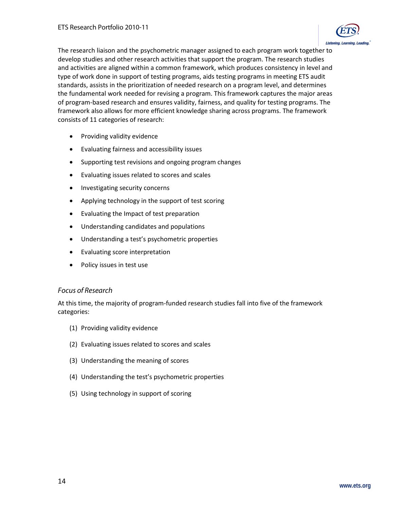

The research liaison and the psychometric manager assigned to each program work together to develop studies and other research activities that support the program. The research studies and activities are aligned within a common framework, which produces consistency in level and type of work done in support of testing programs, aids testing programs in meeting ETS audit standards, assists in the prioritization of needed research on a program level, and determines the fundamental work needed for revising a program. This framework captures the major areas of program-based research and ensures validity, fairness, and quality for testing programs. The framework also allows for more efficient knowledge sharing across programs. The framework consists of 11 categories of research:

- Providing validity evidence
- Evaluating fairness and accessibility issues
- Supporting test revisions and ongoing program changes
- Evaluating issues related to scores and scales
- Investigating security concerns
- Applying technology in the support of test scoring
- Evaluating the Impact of test preparation
- Understanding candidates and populations
- Understanding a test's psychometric properties
- Evaluating score interpretation
- Policy issues in test use

#### *Focus of Research*

At this time, the majority of program-funded research studies fall into five of the framework categories:

- (1) [Providing validity evidence](#page-14-0)
- (2) [Evaluating issues related to scores and scales](#page-15-0)
- (3) [Understanding the meaning of scores](#page-16-0)
- (4) [Understanding the test's](#page-16-0) psychometric properties
- (5) [Using technology in support of scoring](#page-17-0)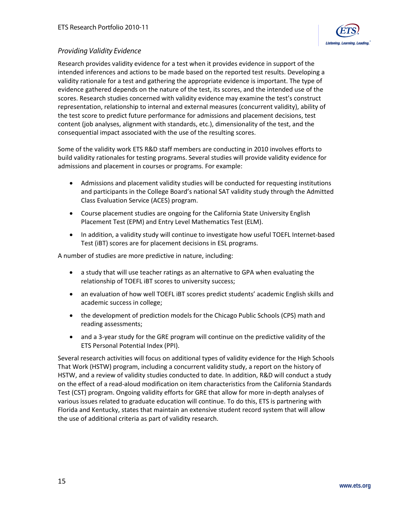

## <span id="page-14-0"></span>*Providing Validity Evidence*

Research provides validity evidence for a test when it provides evidence in support of the intended inferences and actions to be made based on the reported test results. Developing a validity rationale for a test and gathering the appropriate evidence is important. The type of evidence gathered depends on the nature of the test, its scores, and the intended use of the scores. Research studies concerned with validity evidence may examine the test's construct representation, relationship to internal and external measures (concurrent validity), ability of the test score to predict future performance for admissions and placement decisions, test content (job analyses, alignment with standards, etc.), dimensionality of the test, and the consequential impact associated with the use of the resulting scores.

Some of the validity work ETS R&D staff members are conducting in 2010 involves efforts to build validity rationales for testing programs. Several studies will provide validity evidence for admissions and placement in courses or programs. For example:

- Admissions and placement validity studies will be conducted for requesting institutions and participants in the College Board's national SAT validity study through the Admitted Class Evaluation Service (ACES) program.
- Course placement studies are ongoing for the California State University English Placement Test (EPM) and Entry Level Mathematics Test (ELM).
- In addition, a validity study will continue to investigate how useful TOEFL Internet-based Test (iBT) scores are for placement decisions in ESL programs.

A number of studies are more predictive in nature, including:

- a study that will use teacher ratings as an alternative to GPA when evaluating the relationship of TOEFL iBT scores to university success;
- an evaluation of how well TOEFL IBT scores predict students' academic English skills and academic success in college;
- the development of prediction models for the Chicago Public Schools (CPS) math and reading assessments;
- and a 3-year study for the GRE program will continue on the predictive validity of the ETS Personal Potential Index (PPI).

Several research activities will focus on additional types of validity evidence for the High Schools That Work (HSTW) program, including a concurrent validity study, a report on the history of HSTW, and a review of validity studies conducted to date. In addition, R&D will conduct a study on the effect of a read-aloud modification on item characteristics from the California Standards Test (CST) program. Ongoing validity efforts for GRE that allow for more in-depth analyses of various issues related to graduate education will continue. To do this, ETS is partnering with Florida and Kentucky, states that maintain an extensive student record system that will allow the use of additional criteria as part of validity research.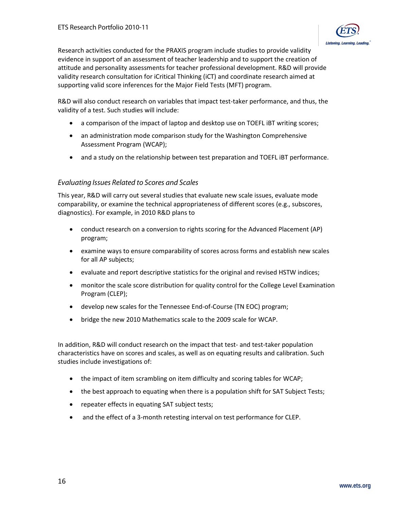<span id="page-15-0"></span>Research activities conducted for the PRAXIS program include studies to provide validity evidence in support of an assessment of teacher leadership and to support the creation of attitude and personality assessments for teacher professional development. R&D will provide validity research consultation for iCritical Thinking (iCT) and coordinate research aimed at supporting valid score inferences for the Major Field Tests (MFT) program.

R&D will also conduct research on variables that impact test-taker performance, and thus, the validity of a test. Such studies will include:

- a comparison of the impact of laptop and desktop use on TOEFL iBT writing scores;
- an administration mode comparison study for the Washington Comprehensive Assessment Program (WCAP);
- and a study on the relationship between test preparation and TOEFL iBT performance.

#### *Evaluating Issues Related to Scores and Scales*

This year, R&D will carry out several studies that evaluate new scale issues, evaluate mode comparability, or examine the technical appropriateness of different scores (e.g., subscores, diagnostics). For example, in 2010 R&D plans to

- conduct research on a conversion to rights scoring for the Advanced Placement (AP) program;
- examine ways to ensure comparability of scores across forms and establish new scales for all AP subjects;
- evaluate and report descriptive statistics for the original and revised HSTW indices;
- monitor the scale score distribution for quality control for the College Level Examination Program (CLEP);
- develop new scales for the Tennessee End-of-Course (TN EOC) program;
- bridge the new 2010 Mathematics scale to the 2009 scale for WCAP.

In addition, R&D will conduct research on the impact that test- and test-taker population characteristics have on scores and scales, as well as on equating results and calibration. Such studies include investigations of:

- the impact of item scrambling on item difficulty and scoring tables for WCAP;
- the best approach to equating when there is a population shift for SAT Subject Tests;
- repeater effects in equating SAT subject tests;
- and the effect of a 3-month retesting interval on test performance for CLEP.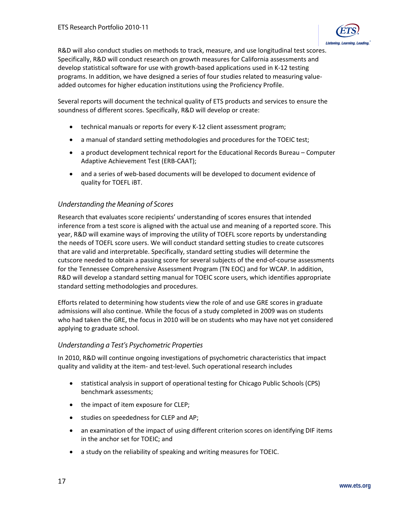

<span id="page-16-0"></span>R&D will also conduct studies on methods to track, measure, and use longitudinal test scores. Specifically, R&D will conduct research on growth measures for California assessments and develop statistical software for use with growth-based applications used in K-12 testing programs. In addition, we have designed a series of four studies related to measuring valueadded outcomes for higher education institutions using the Proficiency Profile.

Several reports will document the technical quality of ETS products and services to ensure the soundness of different scores. Specifically, R&D will develop or create:

- technical manuals or reports for every K-12 client assessment program;
- a manual of standard setting methodologies and procedures for the TOEIC test;
- a product development technical report for the Educational Records Bureau Computer Adaptive Achievement Test (ERB-CAAT);
- and a series of web-based documents will be developed to document evidence of quality for TOEFL iBT.

## *Understanding the Meaning of Scores*

Research that evaluates score recipients' understanding of scores ensures that intended inference from a test score is aligned with the actual use and meaning of a reported score. This year, R&D will examine ways of improving the utility of TOEFL score reports by understanding the needs of TOEFL score users. We will conduct standard setting studies to create cutscores that are valid and interpretable. Specifically, standard setting studies will determine the cutscore needed to obtain a passing score for several subjects of the end-of-course assessments for the Tennessee Comprehensive Assessment Program (TN EOC) and for WCAP. In addition, R&D will develop a standard setting manual for TOEIC score users, which identifies appropriate standard setting methodologies and procedures.

Efforts related to determining how students view the role of and use GRE scores in graduate admissions will also continue. While the focus of a study completed in 2009 was on students who had taken the GRE, the focus in 2010 will be on students who may have not yet considered applying to graduate school.

#### *Understanding a Test's Psychometric Properties*

In 2010, R&D will continue ongoing investigations of psychometric characteristics that impact quality and validity at the item- and test-level. Such operational research includes

- statistical analysis in support of operational testing for Chicago Public Schools (CPS) benchmark assessments;
- the impact of item exposure for CLEP;
- studies on speededness for CLEP and AP;
- an examination of the impact of using different criterion scores on identifying DIF items in the anchor set for TOEIC; and
- a study on the reliability of speaking and writing measures for TOEIC.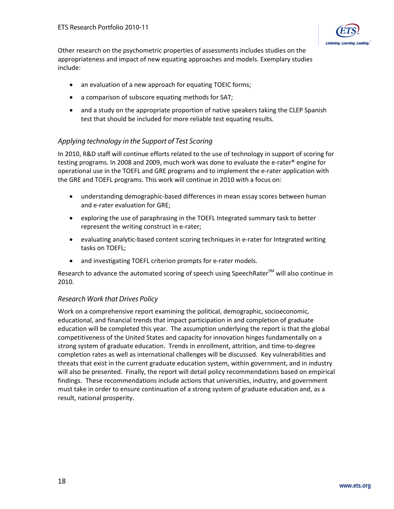

<span id="page-17-0"></span>Other research on the psychometric properties of assessments includes studies on the appropriateness and impact of new equating approaches and models. Exemplary studies include:

- an evaluation of a new approach for equating TOEIC forms;
- a comparison of subscore equating methods for SAT;
- and a study on the appropriate proportion of native speakers taking the CLEP Spanish test that should be included for more reliable test equating results.

## *Applying technology in the Support of Test Scoring*

In 2010, R&D staff will continue efforts related to the use of technology in support of scoring for testing programs. In 2008 and 2009, much work was done to evaluate the e-rater<sup>®</sup> engine for operational use in the TOEFL and GRE programs and to implement the e-rater application with the GRE and TOEFL programs. This work will continue in 2010 with a focus on:

- understanding demographic-based differences in mean essay scores between human and e-rater evaluation for GRE;
- exploring the use of paraphrasing in the TOEFL Integrated summary task to better represent the writing construct in e-rater;
- evaluating analytic-based content scoring techniques in e-rater for Integrated writing tasks on TOEFL;
- and investigating TOEFL criterion prompts for e-rater models.

Research to advance the automated scoring of speech using Speech Rater $^{5M}$  will also continue in 2010.

#### *Research Work that Drives Policy*

Work on a comprehensive report examining the political, demographic, socioeconomic, educational, and financial trends that impact participation in and completion of graduate education will be completed this year. The assumption underlying the report is that the global competitiveness of the United States and capacity for innovation hinges fundamentally on a strong system of graduate education. Trends in enrollment, attrition, and time-to-degree completion rates as well as international challenges will be discussed. Key vulnerabilities and threats that exist in the current graduate education system, within government, and in industry will also be presented. Finally, the report will detail policy recommendations based on empirical findings. These recommendations include actions that universities, industry, and government must take in order to ensure continuation of a strong system of graduate education and, as a result, national prosperity.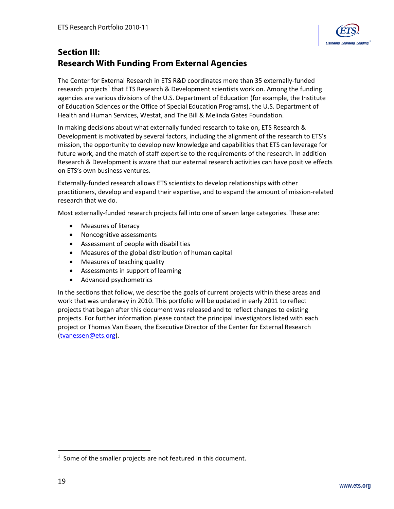

# <span id="page-18-0"></span>**Section III: Research With Funding From External Agencies**

The Center for External Research in ETS R&D coordinates more than 35 externally-funded research projects<sup>[1](#page-18-1)</sup> that ETS Research & Development scientists work on. Among the funding agencies are various divisions of the U.S. Department of Education (for example, the Institute of Education Sciences or the Office of Special Education Programs), the U.S. Department of Health and Human Services, Westat, and The Bill & Melinda Gates Foundation.

In making decisions about what externally funded research to take on, ETS Research & Development is motivated by several factors, including the alignment of the research to ETS's mission, the opportunity to develop new knowledge and capabilities that ETS can leverage for future work, and the match of staff expertise to the requirements of the research. In addition Research & Development is aware that our external research activities can have positive effects on ETS's own business ventures.

Externally-funded research allows ETS scientists to develop relationships with other practitioners, develop and expand their expertise, and to expand the amount of mission-related research that we do.

Most externally-funded research projects fall into one of seven large categories. These are:

- [Measures of literacy](#page-19-0)
- [Noncognitive assessments](#page-21-0)
- [Assessment of people with disabilities](#page-22-0)
- [Measures of the global distribution of human capital](#page-25-0)
- [Measures of teaching quality](#page-29-0)
- [Assessments in support of learning](#page-33-0)
- [Advanced psychometrics](#page-37-0)

In the sections that follow, we describe the goals of current projects within these areas and work that was underway in 2010. This portfolio will be updated in early 2011 to reflect projects that began after this document was released and to reflect changes to existing projects. For further information please contact the principal investigators listed with each project or Thomas Van Essen, the Executive Director of the Center for External Research [\(tvanessen@ets.org\)](mailto:tvanessen@ets.org).

<span id="page-18-1"></span> $\frac{1}{1}$  $1$  Some of the smaller projects are not featured in this document.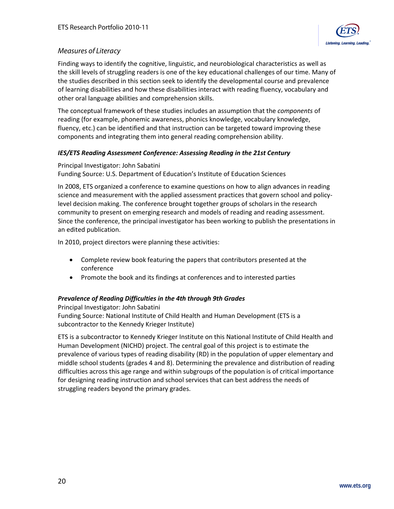

## <span id="page-19-0"></span>*Measures of Literacy*

Finding ways to identify the cognitive, linguistic, and neurobiological characteristics as well as the skill levels of struggling readers is one of the key educational challenges of our time. Many of the studies described in this section seek to identify the developmental course and prevalence of learning disabilities and how these disabilities interact with reading fluency, vocabulary and other oral language abilities and comprehension skills.

The conceptual framework of these studies includes an assumption that the *components* of reading (for example, phonemic awareness, phonics knowledge, vocabulary knowledge, fluency, etc.) can be identified and that instruction can be targeted toward improving these components and integrating them into general reading comprehension ability.

#### *IES/ETS Reading Assessment Conference: Assessing Reading in the 21st Century*

Principal Investigator: John Sabatini Funding Source: U.S. Department of Education's Institute of Education Sciences

In 2008, ETS organized a conference to examine questions on how to align advances in reading science and measurement with the applied assessment practices that govern school and policylevel decision making. The conference brought together groups of scholars in the research community to present on emerging research and models of reading and reading assessment. Since the conference, the principal investigator has been working to publish the presentations in an edited publication.

In 2010, project directors were planning these activities:

- Complete review book featuring the papers that contributors presented at the conference
- Promote the book and its findings at conferences and to interested parties

#### *Prevalence of Reading Difficulties in the 4th through 9th Grades*

Principal Investigator: John Sabatini Funding Source: National Institute of Child Health and Human Development (ETS is a subcontractor to the Kennedy Krieger Institute)

ETS is a subcontractor to Kennedy Krieger Institute on this National Institute of Child Health and Human Development (NICHD) project. The central goal of this project is to estimate the prevalence of various types of reading disability (RD) in the population of upper elementary and middle school students (grades 4 and 8). Determining the prevalence and distribution of reading difficulties across this age range and within subgroups of the population is of critical importance for designing reading instruction and school services that can best address the needs of struggling readers beyond the primary grades.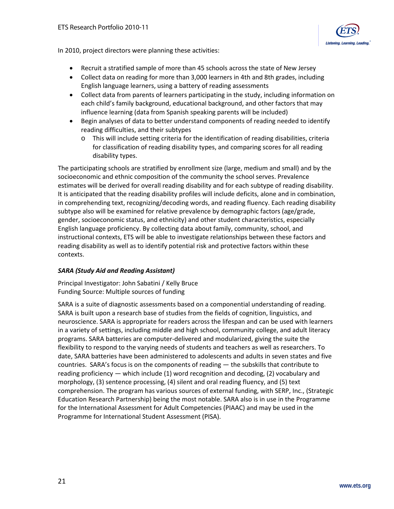

In 2010, project directors were planning these activities:

- Recruit a stratified sample of more than 45 schools across the state of New Jersey
- Collect data on reading for more than 3,000 learners in 4th and 8th grades, including English language learners, using a battery of reading assessments
- Collect data from parents of learners participating in the study, including information on each child's family background, educational background, and other factors that may influence learning (data from Spanish speaking parents will be included)
- Begin analyses of data to better understand components of reading needed to identify reading difficulties, and their subtypes
	- o This will include setting criteria for the identification of reading disabilities, criteria for classification of reading disability types, and comparing scores for all reading disability types.

The participating schools are stratified by enrollment size (large, medium and small) and by the socioeconomic and ethnic composition of the community the school serves. Prevalence estimates will be derived for overall reading disability and for each subtype of reading disability. It is anticipated that the reading disability profiles will include deficits, alone and in combination, in comprehending text, recognizing/decoding words, and reading fluency. Each reading disability subtype also will be examined for relative prevalence by demographic factors (age/grade, gender, socioeconomic status, and ethnicity) and other student characteristics, especially English language proficiency. By collecting data about family, community, school, and instructional contexts, ETS will be able to investigate relationships between these factors and reading disability as well as to identify potential risk and protective factors within these contexts.

#### *SARA (Study Aid and Reading Assistant)*

Principal Investigator: John Sabatini / Kelly Bruce Funding Source: Multiple sources of funding

SARA is a suite of diagnostic assessments based on a componential understanding of reading. SARA is built upon a research base of studies from the fields of cognition, linguistics, and neuroscience. SARA is appropriate for readers across the lifespan and can be used with learners in a variety of settings, including middle and high school, community college, and adult literacy programs. SARA batteries are computer-delivered and modularized, giving the suite the flexibility to respond to the varying needs of students and teachers as well as researchers. To date, SARA batteries have been administered to adolescents and adults in seven states and five countries. SARA's focus is on the components of reading — the subskills that contribute to reading proficiency — which include (1) word recognition and decoding, (2) vocabulary and morphology, (3) sentence processing, (4) silent and oral reading fluency, and (5) text comprehension. The program has various sources of external funding, with SERP, Inc., (Strategic Education Research Partnership) being the most notable. SARA also is in use in the Programme for the International Assessment for Adult Competencies (PIAAC) and may be used in the Programme for International Student Assessment (PISA).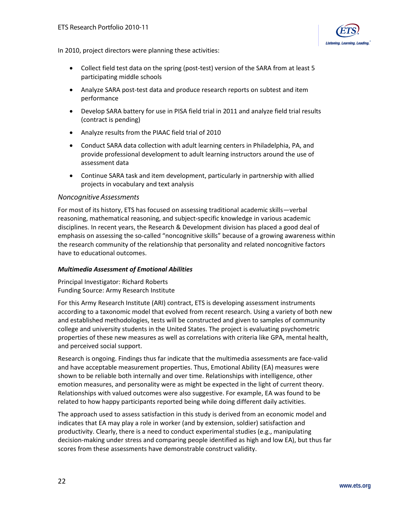

<span id="page-21-0"></span>In 2010, project directors were planning these activities:

- Collect field test data on the spring (post-test) version of the SARA from at least 5 participating middle schools
- Analyze SARA post-test data and produce research reports on subtest and item performance
- Develop SARA battery for use in PISA field trial in 2011 and analyze field trial results (contract is pending)
- Analyze results from the PIAAC field trial of 2010
- Conduct SARA data collection with adult learning centers in Philadelphia, PA, and provide professional development to adult learning instructors around the use of assessment data
- Continue SARA task and item development, particularly in partnership with allied projects in vocabulary and text analysis

#### *Noncognitive Assessments*

For most of its history, ETS has focused on assessing traditional academic skills—verbal reasoning, mathematical reasoning, and subject-specific knowledge in various academic disciplines. In recent years, the Research & Development division has placed a good deal of emphasis on assessing the so-called "noncognitive skills" because of a growing awareness within the research community of the relationship that personality and related noncognitive factors have to educational outcomes.

#### *Multimedia Assessment of Emotional Abilities*

Principal Investigator: Richard Roberts Funding Source: Army Research Institute

For this Army Research Institute (ARI) contract, ETS is developing assessment instruments according to a taxonomic model that evolved from recent research. Using a variety of both new and established methodologies, tests will be constructed and given to samples of community college and university students in the United States. The project is evaluating psychometric properties of these new measures as well as correlations with criteria like GPA, mental health, and perceived social support.

Research is ongoing. Findings thus far indicate that the multimedia assessments are face-valid and have acceptable measurement properties. Thus, Emotional Ability (EA) measures were shown to be reliable both internally and over time. Relationships with intelligence, other emotion measures, and personality were as might be expected in the light of current theory. Relationships with valued outcomes were also suggestive. For example, EA was found to be related to how happy participants reported being while doing different daily activities.

The approach used to assess satisfaction in this study is derived from an economic model and indicates that EA may play a role in worker (and by extension, soldier) satisfaction and productivity. Clearly, there is a need to conduct experimental studies (e.g., manipulating decision-making under stress and comparing people identified as high and low EA), but thus far scores from these assessments have demonstrable construct validity.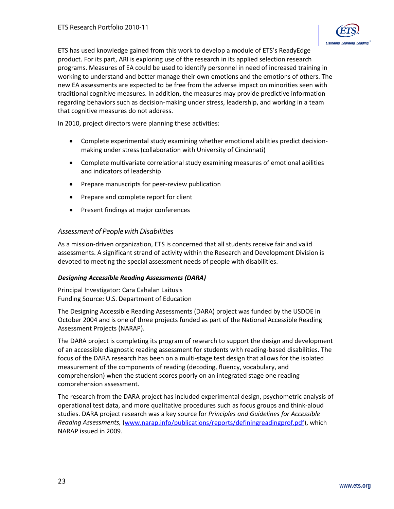

<span id="page-22-0"></span>ETS has used knowledge gained from this work to develop a module of ETS's ReadyEdge product. For its part, ARI is exploring use of the research in its applied selection research programs. Measures of EA could be used to identify personnel in need of increased training in working to understand and better manage their own emotions and the emotions of others. The new EA assessments are expected to be free from the adverse impact on minorities seen with traditional cognitive measures. In addition, the measures may provide predictive information regarding behaviors such as decision-making under stress, leadership, and working in a team that cognitive measures do not address.

In 2010, project directors were planning these activities:

- Complete experimental study examining whether emotional abilities predict decisionmaking under stress (collaboration with University of Cincinnati)
- Complete multivariate correlational study examining measures of emotional abilities and indicators of leadership
- Prepare manuscripts for peer-review publication
- Prepare and complete report for client
- Present findings at major conferences

#### *Assessment of People with Disabilities*

As a mission-driven organization, ETS is concerned that all students receive fair and valid assessments. A significant strand of activity within the Research and Development Division is devoted to meeting the special assessment needs of people with disabilities.

#### *Designing Accessible Reading Assessments (DARA)*

Principal Investigator: Cara Cahalan Laitusis Funding Source: U.S. Department of Education

The Designing Accessible Reading Assessments (DARA) project was funded by the USDOE in October 2004 and is one of three projects funded as part of the National Accessible Reading Assessment Projects (NARAP).

The DARA project is completing its program of research to support the design and development of an accessible diagnostic reading assessment for students with reading-based disabilities. The focus of the DARA research has been on a multi-stage test design that allows for the isolated measurement of the components of reading (decoding, fluency, vocabulary, and comprehension) when the student scores poorly on an integrated stage one reading comprehension assessment.

The research from the DARA project has included experimental design, psychometric analysis of operational test data, and more qualitative procedures such as focus groups and think-aloud studies. DARA project research was a key source for *Principles and Guidelines for Accessible Reading Assessments,* [\(www.narap.info/publications/reports/definingreadingprof.pdf\)](http://www.narap.info/publications/reports/definingreadingprof.pdf), which NARAP issued in 2009.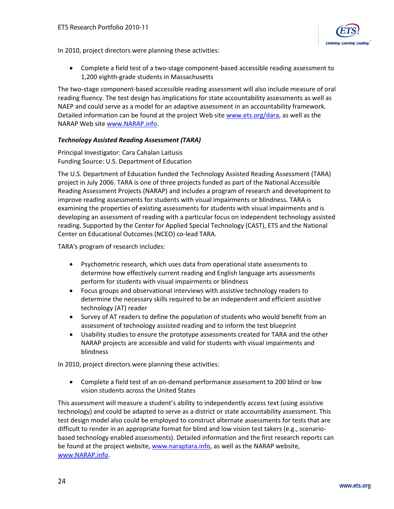

In 2010, project directors were planning these activities:

• Complete a field test of a two-stage component-based accessible reading assessment to 1,200 eighth-grade students in Massachusetts

The two-stage component-based accessible reading assessment will also include measure of oral reading fluency. The test design has implications for state accountability assessments as well as NAEP and could serve as a model for an adaptive assessment in an accountability framework. Detailed information can be found at the project Web sit[e www.ets.org/dara,](http://www.ets.org/dara) as well as the NARAP Web site [www.NARAP.info.](http://www.narap.info/)

#### *Technology Assisted Reading Assessment (TARA)*

Principal Investigator: Cara Cahalan Laitusis Funding Source: U.S. Department of Education

The U.S. Department of Education funded the Technology Assisted Reading Assessment (TARA) project in July 2006. TARA is one of three projects funded as part of the National Accessible Reading Assessment Projects (NARAP) and includes a program of research and development to improve reading assessments for students with visual impairments or blindness. TARA is examining the properties of existing assessments for students with visual impairments and is developing an assessment of reading with a particular focus on independent technology assisted reading. Supported by the Center for Applied Special Technology (CAST), ETS and the National Center on Educational Outcomes (NCEO) co-lead TARA.

TARA's program of research includes:

- Psychometric research, which uses data from operational state assessments to determine how effectively current reading and English language arts assessments perform for students with visual impairments or blindness
- Focus groups and observational interviews with assistive technology readers to determine the necessary skills required to be an independent and efficient assistive technology (AT) reader
- Survey of AT readers to define the population of students who would benefit from an assessment of technology assisted reading and to inform the test blueprint
- Usability studies to ensure the prototype assessments created for TARA and the other NARAP projects are accessible and valid for students with visual impairments and blindness

In 2010, project directors were planning these activities:

• Complete a field test of an on-demand performance assessment to 200 blind or low vision students across the United States

This assessment will measure a student's ability to independently access text (using assistive technology) and could be adapted to serve as a district or state accountability assessment. This test design model also could be employed to construct alternate assessments for tests that are difficult to render in an appropriate format for blind and low vision test takers (e.g., scenariobased technology enabled assessments). Detailed information and the first research reports can be found at the project website, [www.naraptara.info,](http://www.naraptara.info/) as well as the NARAP website, [www.NARAP.info.](http://www.narap.info/)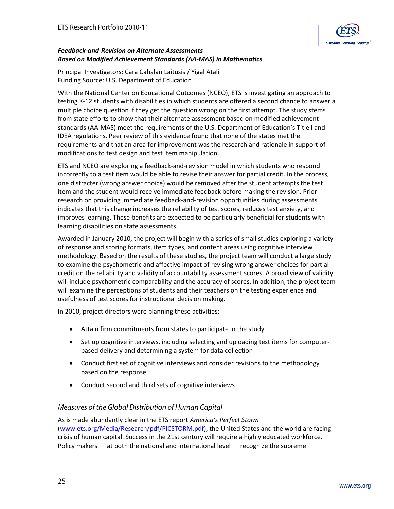#### *Feedback-and-Revision on Alternate Assessments Based on Modified Achievement Standards (AA-MAS) in Mathematics*

Principal Investigators: Cara Cahalan Laitusis / Yigal Atali Funding Source: U.S. Department of Education

With the National Center on Educational Outcomes (NCEO), ETS is investigating an approach to testing K-12 students with disabilities in which students are offered a second chance to answer a multiple choice question if they get the question wrong on the first attempt. The study stems from state efforts to show that their alternate assessment based on modified achievement standards (AA-MAS) meet the requirements of the U.S. Department of Education's Title I and IDEA regulations. Peer review of this evidence found that none of the states met the requirements and that an area for improvement was the research and rationale in support of modifications to test design and test item manipulation.

ETS and NCEO are exploring a feedback-and-revision model in which students who respond incorrectly to a test item would be able to revise their answer for partial credit. In the process, one distracter (wrong answer choice) would be removed after the student attempts the test item and the student would receive immediate feedback before making the revision. Prior research on providing immediate feedback-and-revision opportunities during assessments indicates that this change increases the reliability of test scores, reduces test anxiety, and improves learning. These benefits are expected to be particularly beneficial for students with learning disabilities on state assessments.

Awarded in January 2010, the project will begin with a series of small studies exploring a variety of response and scoring formats, item types, and content areas using cognitive interview methodology. Based on the results of these studies, the project team will conduct a large study to examine the psychometric and affective impact of revising wrong answer choices for partial credit on the reliability and validity of accountability assessment scores. A broad view of validity will include psychometric comparability and the accuracy of scores. In addition, the project team will examine the perceptions of students and their teachers on the testing experience and usefulness of test scores for instructional decision making.

In 2010, project directors were planning these activities:

- Attain firm commitments from states to participate in the study
- Set up cognitive interviews, including selecting and uploading test items for computerbased delivery and determining a system for data collection
- Conduct first set of cognitive interviews and consider revisions to the methodology based on the response
- Conduct second and third sets of cognitive interviews

#### *Measures of the Global Distribution of Human Capital*

As is made abundantly clear in the ETS report *America's Perfect Storm* [\(www.ets.org/Media/Research/pdf/PICSTORM.pdf\)](http://www.ets.org/Media/Research/pdf/PICSTORM.pdf), the United States and the world are facing crisis of human capital. Success in the 21st century will require a highly educated workforce. Policy makers — at both the national and international level — recognize the supreme

®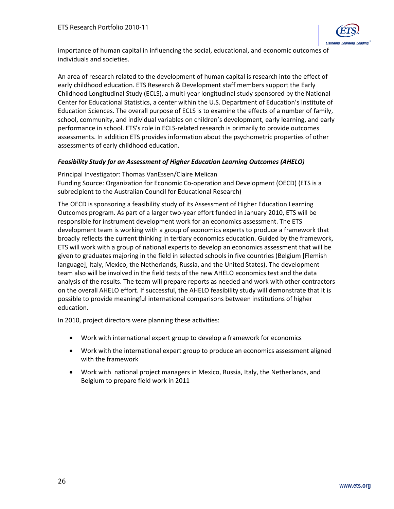

<span id="page-25-0"></span>importance of human capital in influencing the social, educational, and economic outcomes of individuals and societies.

An area of research related to the development of human capital is research into the effect of early childhood education. ETS Research & Development staff members support the Early Childhood Longitudinal Study (ECLS), a multi-year longitudinal study sponsored by the National Center for Educational Statistics, a center within the U.S. Department of Education's Institute of Education Sciences. The overall purpose of ECLS is to examine the effects of a number of family, school, community, and individual variables on children's development, early learning, and early performance in school. ETS's role in ECLS-related research is primarily to provide outcomes assessments. In addition ETS provides information about the psychometric properties of other assessments of early childhood education.

#### *Feasibility Study for an Assessment of Higher Education Learning Outcomes (AHELO)*

Principal Investigator: Thomas VanEssen/Claire Melican Funding Source: Organization for Economic Co-operation and Development (OECD) (ETS is a subrecipient to the Australian Council for Educational Research)

The OECD is sponsoring a feasibility study of its Assessment of Higher Education Learning Outcomes program. As part of a larger two-year effort funded in January 2010, ETS will be responsible for instrument development work for an economics assessment. The ETS development team is working with a group of economics experts to produce a framework that broadly reflects the current thinking in tertiary economics education. Guided by the framework, ETS will work with a group of national experts to develop an economics assessment that will be given to graduates majoring in the field in selected schools in five countries (Belgium [Flemish language], Italy, Mexico, the Netherlands, Russia, and the United States). The development team also will be involved in the field tests of the new AHELO economics test and the data analysis of the results. The team will prepare reports as needed and work with other contractors on the overall AHELO effort. If successful, the AHELO feasibility study will demonstrate that it is possible to provide meaningful international comparisons between institutions of higher education.

In 2010, project directors were planning these activities:

- Work with international expert group to develop a framework for economics
- Work with the international expert group to produce an economics assessment aligned with the framework
- Work with national project managers in Mexico, Russia, Italy, the Netherlands, and Belgium to prepare field work in 2011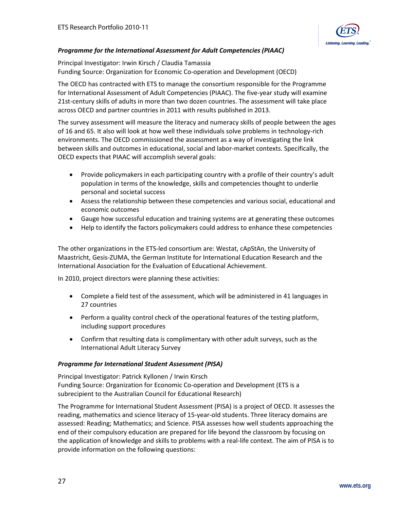

#### *Programme for the International Assessment for Adult Competencies (PIAAC)*

Principal Investigator: Irwin Kirsch / Claudia Tamassia Funding Source: Organization for Economic Co-operation and Development (OECD)

The OECD has contracted with ETS to manage the consortium responsible for the Programme for International Assessment of Adult Competencies (PIAAC). The five-year study will examine 21st-century skills of adults in more than two dozen countries. The assessment will take place across OECD and partner countries in 2011 with results published in 2013.

The survey assessment will measure the literacy and numeracy skills of people between the ages of 16 and 65. It also will look at how well these individuals solve problems in technology-rich environments. The OECD commissioned the assessment as a way of investigating the link between skills and outcomes in educational, social and labor-market contexts. Specifically, the OECD expects that PIAAC will accomplish several goals:

- Provide policymakers in each participating country with a profile of their country's adult population in terms of the knowledge, skills and competencies thought to underlie personal and societal success
- Assess the relationship between these competencies and various social, educational and economic outcomes
- Gauge how successful education and training systems are at generating these outcomes
- Help to identify the factors policymakers could address to enhance these competencies

The other organizations in the ETS-led consortium are: Westat, cApStAn, the University of Maastricht, Gesis-ZUMA, the German Institute for International Education Research and the International Association for the Evaluation of Educational Achievement.

In 2010, project directors were planning these activities:

- Complete a field test of the assessment, which will be administered in 41 languages in 27 countries
- Perform a quality control check of the operational features of the testing platform, including support procedures
- Confirm that resulting data is complimentary with other adult surveys, such as the International Adult Literacy Survey

#### *Programme for International Student Assessment (PISA)*

Principal Investigator: Patrick Kyllonen / Irwin Kirsch Funding Source: Organization for Economic Co-operation and Development (ETS is a subrecipient to the Australian Council for Educational Research)

The Programme for International Student Assessment (PISA) is a project of OECD. It assesses the reading, mathematics and science literacy of 15-year-old students. Three literacy domains are assessed: Reading; Mathematics; and Science. PISA assesses how well students approaching the end of their compulsory education are prepared for life beyond the classroom by focusing on the application of knowledge and skills to problems with a real-life context. The aim of PISA is to provide information on the following questions: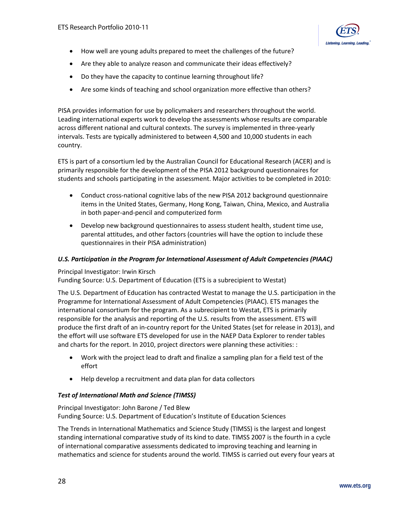

- How well are young adults prepared to meet the challenges of the future?
- Are they able to analyze reason and communicate their ideas effectively?
- Do they have the capacity to continue learning throughout life?
- Are some kinds of teaching and school organization more effective than others?

PISA provides information for use by policymakers and researchers throughout the world. Leading international experts work to develop the assessments whose results are comparable across different national and cultural contexts. The survey is implemented in three-yearly intervals. Tests are typically administered to between 4,500 and 10,000 students in each country.

ETS is part of a consortium led by the Australian Council for Educational Research (ACER) and is primarily responsible for the development of the PISA 2012 background questionnaires for students and schools participating in the assessment. Major activities to be completed in 2010:

- Conduct cross-national cognitive labs of the new PISA 2012 background questionnaire items in the United States, Germany, Hong Kong, Taiwan, China, Mexico, and Australia in both paper-and-pencil and computerized form
- Develop new background questionnaires to assess student health, student time use, parental attitudes, and other factors (countries will have the option to include these questionnaires in their PISA administration)

#### *U.S. Participation in the Program for International Assessment of Adult Competencies (PIAAC)*

#### Principal Investigator: Irwin Kirsch

Funding Source: U.S. Department of Education (ETS is a subrecipient to Westat)

The U.S. Department of Education has contracted Westat to manage the U.S. participation in the Programme for International Assessment of Adult Competencies (PIAAC). ETS manages the international consortium for the program. As a subrecipient to Westat, ETS is primarily responsible for the analysis and reporting of the U.S. results from the assessment. ETS will produce the first draft of an in-country report for the United States (set for release in 2013), and the effort will use software ETS developed for use in the NAEP Data Explorer to render tables and charts for the report. In 2010, project directors were planning these activities: :

- Work with the project lead to draft and finalize a sampling plan for a field test of the effort
- Help develop a recruitment and data plan for data collectors

#### *Test of International Math and Science (TIMSS)*

Principal Investigator: John Barone / Ted Blew Funding Source: U.S. Department of Education's Institute of Education Sciences

The Trends in International Mathematics and Science Study (TIMSS) is the largest and longest standing international comparative study of its kind to date. TIMSS 2007 is the fourth in a cycle of international comparative assessments dedicated to improving teaching and learning in mathematics and science for students around the world. TIMSS is carried out every four years at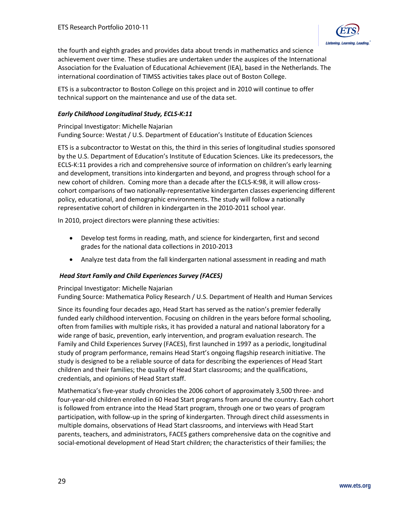

the fourth and eighth grades and provides data about trends in mathematics and science achievement over time. These studies are undertaken under the auspices of the International Association for the Evaluation of Educational Achievement (IEA), based in the Netherlands. The international coordination of TIMSS activities takes place out of Boston College.

ETS is a subcontractor to Boston College on this project and in 2010 will continue to offer technical support on the maintenance and use of the data set.

#### *Early Childhood Longitudinal Study, ECLS-K:11*

#### Principal Investigator: Michelle Najarian

Funding Source: Westat / U.S. Department of Education's Institute of Education Sciences

ETS is a subcontractor to Westat on this, the third in this series of longitudinal studies sponsored by the U.S. Department of Education's Institute of Education Sciences. Like its predecessors, the ECLS-K:11 provides a rich and comprehensive source of information on children's early learning and development, transitions into kindergarten and beyond, and progress through school for a new cohort of children. Coming more than a decade after the ECLS-K:98, it will allow crosscohort comparisons of two nationally-representative kindergarten classes experiencing different policy, educational, and demographic environments. The study will follow a nationally representative cohort of children in kindergarten in the 2010-2011 school year.

In 2010, project directors were planning these activities:

- Develop test forms in reading, math, and science for kindergarten, first and second grades for the national data collections in 2010-2013
- Analyze test data from the fall kindergarten national assessment in reading and math

#### *Head Start Family and Child Experiences Survey (FACES)*

Principal Investigator: Michelle Najarian Funding Source: Mathematica Policy Research / U.S. Department of Health and Human Services

Since its founding four decades ago, Head Start has served as the nation's premier federally funded early childhood intervention. Focusing on children in the years before formal schooling, often from families with multiple risks, it has provided a natural and national laboratory for a wide range of basic, prevention, early intervention, and program evaluation research. The Family and Child Experiences Survey (FACES), first launched in 1997 as a periodic, longitudinal study of program performance, remains Head Start's ongoing flagship research initiative. The study is designed to be a reliable source of data for describing the experiences of Head Start children and their families; the quality of Head Start classrooms; and the qualifications, credentials, and opinions of Head Start staff.

Mathematica's five-year study chronicles the 2006 cohort of approximately 3,500 three- and four-year-old children enrolled in 60 Head Start programs from around the country. Each cohort is followed from entrance into the Head Start program, through one or two years of program participation, with follow-up in the spring of kindergarten. Through direct child assessments in multiple domains, observations of Head Start classrooms, and interviews with Head Start parents, teachers, and administrators, FACES gathers comprehensive data on the cognitive and social-emotional development of Head Start children; the characteristics of their families; the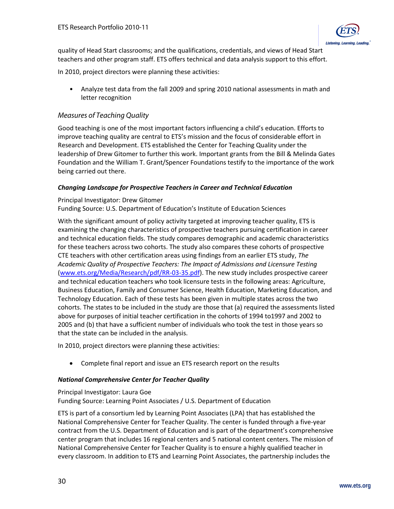<span id="page-29-0"></span>quality of Head Start classrooms; and the qualifications, credentials, and views of Head Start teachers and other program staff. ETS offers technical and data analysis support to this effort.

In 2010, project directors were planning these activities:

• Analyze test data from the fall 2009 and spring 2010 national assessments in math and letter recognition

# *Measures of Teaching Quality*

Good teaching is one of the most important factors influencing a child's education. Efforts to improve teaching quality are central to ETS's mission and the focus of considerable effort in Research and Development. ETS established the Center for Teaching Quality under the leadership of Drew Gitomer to further this work. Important grants from the Bill & Melinda Gates Foundation and the William T. Grant/Spencer Foundations testify to the importance of the work being carried out there.

# *Changing Landscape for Prospective Teachers in Career and Technical Education*

## Principal Investigator: Drew Gitomer

Funding Source: U.S. Department of Education's Institute of Education Sciences

With the significant amount of policy activity targeted at improving teacher quality, ETS is examining the changing characteristics of prospective teachers pursuing certification in career and technical education fields. The study compares demographic and academic characteristics for these teachers across two cohorts. The study also compares these cohorts of prospective CTE teachers with other certification areas using findings from an earlier ETS study, *The Academic Quality of Prospective Teachers: The Impact of Admissions and Licensure Testing* [\(www.ets.org/Media/Research/pdf/RR-03-35.pdf\)](http://www.ets.org/Media/Research/pdf/RR-03-35.pdf). The new study includes prospective career and technical education teachers who took licensure tests in the following areas: Agriculture, Business Education, Family and Consumer Science, Health Education, Marketing Education, and Technology Education. Each of these tests has been given in multiple states across the two cohorts. The states to be included in the study are those that (a) required the assessments listed above for purposes of initial teacher certification in the cohorts of 1994 to1997 and 2002 to 2005 and (b) that have a sufficient number of individuals who took the test in those years so that the state can be included in the analysis.

In 2010, project directors were planning these activities:

• Complete final report and issue an ETS research report on the results

# *National Comprehensive Center for Teacher Quality*

#### Principal Investigator: Laura Goe Funding Source: Learning Point Associates / U.S. Department of Education

ETS is part of a consortium led by Learning Point Associates (LPA) that has established the National Comprehensive Center for Teacher Quality. The center is funded through a five-year contract from the U.S. Department of Education and is part of the department's comprehensive center program that includes 16 regional centers and 5 national content centers. The mission of National Comprehensive Center for Teacher Quality is to ensure a highly qualified teacher in every classroom. In addition to ETS and Learning Point Associates, the partnership includes the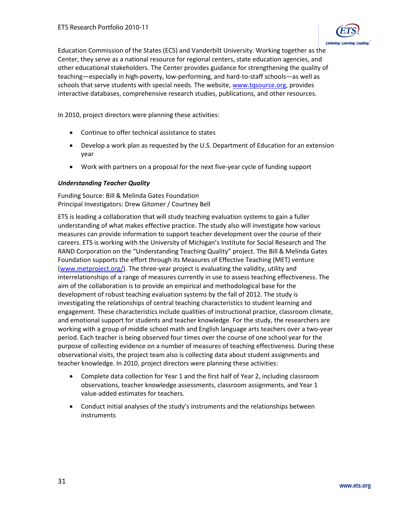

Education Commission of the States (ECS) and Vanderbilt University. Working together as the Center, they serve as a national resource for regional centers, state education agencies, and other educational stakeholders. The Center provides guidance for strengthening the quality of teaching—especially in high-poverty, low-performing, and hard-to-staff schools—as well as schools that serve students with special needs. The website, [www.tqsource.org,](http://www.tqsource.org/) provides interactive databases, comprehensive research studies, publications, and other resources.

In 2010, project directors were planning these activities:

- Continue to offer technical assistance to states
- Develop a work plan as requested by the U.S. Department of Education for an extension year
- Work with partners on a proposal for the next five-year cycle of funding support

#### *Understanding Teacher Quality*

Funding Source: Bill & Melinda Gates Foundation Principal Investigators: Drew Gitomer / Courtney Bell

ETS is leading a collaboration that will study teaching evaluation systems to gain a fuller understanding of what makes effective practice. The study also will investigate how various measures can provide information to support teacher development over the course of their careers. ETS is working with the University of Michigan's Institute for Social Research and The RAND Corporation on the "Understanding Teaching Quality" project. The Bill & Melinda Gates Foundation supports the effort through its Measures of Effective Teaching (MET) venture [\(www.metproject.org/\)](http://www.metproject.org/). The three-year project is evaluating the validity, utility and interrelationships of a range of measures currently in use to assess teaching effectiveness. The aim of the collaboration is to provide an empirical and methodological base for the development of robust teaching evaluation systems by the fall of 2012. The study is investigating the relationships of central teaching characteristics to student learning and engagement. These characteristics include qualities of instructional practice, classroom climate, and emotional support for students and teacher knowledge. For the study, the researchers are working with a group of middle school math and English language arts teachers over a two-year period. Each teacher is being observed four times over the course of one school year for the purpose of collecting evidence on a number of measures of teaching effectiveness. During these observational visits, the project team also is collecting data about student assignments and teacher knowledge. In 2010, project directors were planning these activities:

- Complete data collection for Year 1 and the first half of Year 2, including classroom observations, teacher knowledge assessments, classroom assignments, and Year 1 value-added estimates for teachers.
- Conduct initial analyses of the study's instruments and the relationships between instruments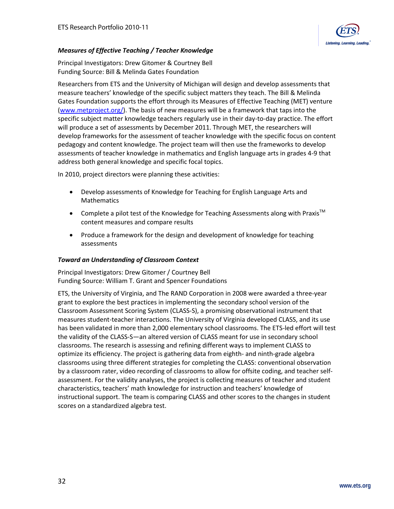

#### *Measures of Effective Teaching / Teacher Knowledge*

Principal Investigators: Drew Gitomer & Courtney Bell Funding Source: Bill & Melinda Gates Foundation

Researchers from ETS and the University of Michigan will design and develop assessments that measure teachers' knowledge of the specific subject matters they teach. The Bill & Melinda Gates Foundation supports the effort through its Measures of Effective Teaching (MET) venture [\(www.metproject.org/\)](http://www.metproject.org/). The basis of new measures will be a framework that taps into the specific subject matter knowledge teachers regularly use in their day-to-day practice. The effort will produce a set of assessments by December 2011. Through MET, the researchers will develop frameworks for the assessment of teacher knowledge with the specific focus on content pedagogy and content knowledge. The project team will then use the frameworks to develop assessments of teacher knowledge in mathematics and English language arts in grades 4-9 that address both general knowledge and specific focal topics.

In 2010, project directors were planning these activities:

- Develop assessments of Knowledge for Teaching for English Language Arts and Mathematics
- Complete a pilot test of the Knowledge for Teaching Assessments along with Praxis<sup>TM</sup> content measures and compare results
- Produce a framework for the design and development of knowledge for teaching assessments

#### *Toward an Understanding of Classroom Context*

Principal Investigators: Drew Gitomer / Courtney Bell Funding Source: William T. Grant and Spencer Foundations

ETS, the University of Virginia, and The RAND Corporation in 2008 were awarded a three-year grant to explore the best practices in implementing the secondary school version of the Classroom Assessment Scoring System (CLASS-S), a promising observational instrument that measures student-teacher interactions. The University of Virginia developed CLASS, and its use has been validated in more than 2,000 elementary school classrooms. The ETS-led effort will test the validity of the CLASS-S—an altered version of CLASS meant for use in secondary school classrooms. The research is assessing and refining different ways to implement CLASS to optimize its efficiency. The project is gathering data from eighth- and ninth-grade algebra classrooms using three different strategies for completing the CLASS: conventional observation by a classroom rater, video recording of classrooms to allow for offsite coding, and teacher selfassessment. For the validity analyses, the project is collecting measures of teacher and student characteristics, teachers' math knowledge for instruction and teachers' knowledge of instructional support. The team is comparing CLASS and other scores to the changes in student scores on a standardized algebra test.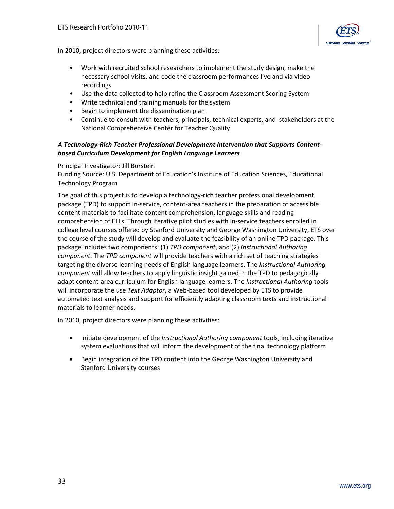

In 2010, project directors were planning these activities:

- Work with recruited school researchers to implement the study design, make the necessary school visits, and code the classroom performances live and via video recordings
- Use the data collected to help refine the Classroom Assessment Scoring System
- Write technical and training manuals for the system
- Begin to implement the dissemination plan
- Continue to consult with teachers, principals, technical experts, and stakeholders at the National Comprehensive Center for Teacher Quality

#### *A Technology-Rich Teacher Professional Development Intervention that Supports Contentbased Curriculum Development for English Language Learners*

#### Principal Investigator: Jill Burstein

Funding Source: U.S. Department of Education's Institute of Education Sciences, Educational Technology Program

The goal of this project is to develop a technology-rich teacher professional development package (TPD) to support in-service, content-area teachers in the preparation of accessible content materials to facilitate content comprehension, language skills and reading comprehension of ELLs. Through iterative pilot studies with in-service teachers enrolled in college level courses offered by Stanford University and George Washington University, ETS over the course of the study will develop and evaluate the feasibility of an online TPD package. This package includes two components: (1) *TPD component*, and (2) *Instructional Authoring component*. The *TPD component* will provide teachers with a rich set of teaching strategies targeting the diverse learning needs of English language learners. The *Instructional Authoring component* will allow teachers to apply linguistic insight gained in the TPD to pedagogically adapt content-area curriculum for English language learners. The *Instructional Authoring* tools will incorporate the use *Text Adaptor*, a Web-based tool developed by ETS to provide automated text analysis and support for efficiently adapting classroom texts and instructional materials to learner needs.

In 2010, project directors were planning these activities:

- Initiate development of the *Instructional Authoring component* tools, including iterative system evaluations that will inform the development of the final technology platform
- Begin integration of the TPD content into the George Washington University and Stanford University courses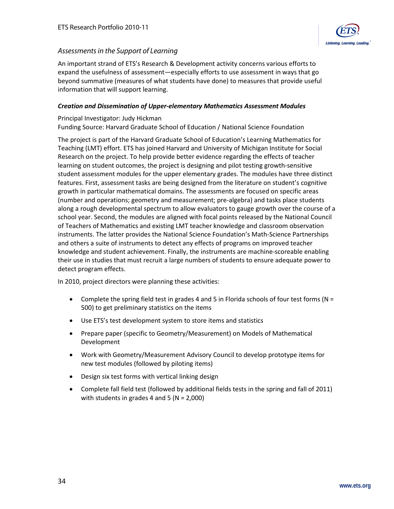

## <span id="page-33-0"></span>*Assessments in the Support of Learning*

An important strand of ETS's Research & Development activity concerns various efforts to expand the usefulness of assessment—especially efforts to use assessment in ways that go beyond summative (measures of what students have done) to measures that provide useful information that will support learning.

#### *Creation and Dissemination of Upper-elementary Mathematics Assessment Modules*

# Principal Investigator: Judy Hickman

Funding Source: Harvard Graduate School of Education / National Science Foundation

The project is part of the Harvard Graduate School of Education's Learning Mathematics for Teaching (LMT) effort. ETS has joined Harvard and University of Michigan Institute for Social Research on the project. To help provide better evidence regarding the effects of teacher learning on student outcomes, the project is designing and pilot testing growth-sensitive student assessment modules for the upper elementary grades. The modules have three distinct features. First, assessment tasks are being designed from the literature on student's cognitive growth in particular mathematical domains. The assessments are focused on specific areas (number and operations; geometry and measurement; pre-algebra) and tasks place students along a rough developmental spectrum to allow evaluators to gauge growth over the course of a school year. Second, the modules are aligned with focal points released by the National Council of Teachers of Mathematics and existing LMT teacher knowledge and classroom observation instruments. The latter provides the National Science Foundation's Math-Science Partnerships and others a suite of instruments to detect any effects of programs on improved teacher knowledge and student achievement. Finally, the instruments are machine-scoreable enabling their use in studies that must recruit a large numbers of students to ensure adequate power to detect program effects.

In 2010, project directors were planning these activities:

- Complete the spring field test in grades 4 and 5 in Florida schools of four test forms ( $N =$ 500) to get preliminary statistics on the items
- Use ETS's test development system to store items and statistics
- Prepare paper (specific to Geometry/Measurement) on Models of Mathematical Development
- Work with Geometry/Measurement Advisory Council to develop prototype items for new test modules (followed by piloting items)
- Design six test forms with vertical linking design
- Complete fall field test (followed by additional fields tests in the spring and fall of 2011) with students in grades 4 and 5 ( $N = 2,000$ )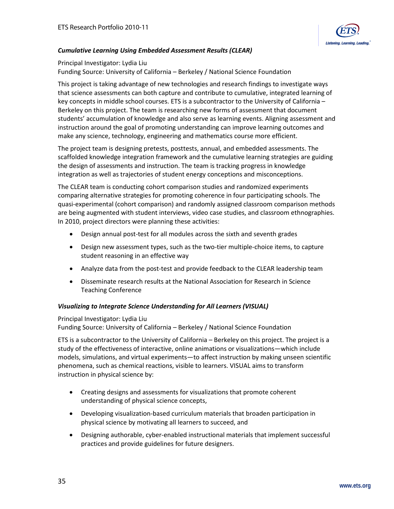

#### *Cumulative Learning Using Embedded Assessment Results (CLEAR)*

#### Principal Investigator: Lydia Liu Funding Source: University of California – Berkeley / National Science Foundation

This project is taking advantage of new technologies and research findings to investigate ways that science assessments can both capture and contribute to cumulative, integrated learning of key concepts in middle school courses. ETS is a subcontractor to the University of California – Berkeley on this project. The team is researching new forms of assessment that document students' accumulation of knowledge and also serve as learning events. Aligning assessment and instruction around the goal of promoting understanding can improve learning outcomes and make any science, technology, engineering and mathematics course more efficient.

The project team is designing pretests, posttests, annual, and embedded assessments. The scaffolded knowledge integration framework and the cumulative learning strategies are guiding the design of assessments and instruction. The team is tracking progress in knowledge integration as well as trajectories of student energy conceptions and misconceptions.

The CLEAR team is conducting cohort comparison studies and randomized experiments comparing alternative strategies for promoting coherence in four participating schools. The quasi-experimental (cohort comparison) and randomly assigned classroom comparison methods are being augmented with student interviews, video case studies, and classroom ethnographies. In 2010, project directors were planning these activities:

- Design annual post-test for all modules across the sixth and seventh grades
- Design new assessment types, such as the two-tier multiple-choice items, to capture student reasoning in an effective way
- Analyze data from the post-test and provide feedback to the CLEAR leadership team
- Disseminate research results at the National Association for Research in Science Teaching Conference

#### *Visualizing to Integrate Science Understanding for All Learners (VISUAL)*

#### Principal Investigator: Lydia Liu

Funding Source: University of California – Berkeley / National Science Foundation

ETS is a subcontractor to the University of California – Berkeley on this project. The project is a study of the effectiveness of interactive, online animations or visualizations—which include models, simulations, and virtual experiments—to affect instruction by making unseen scientific phenomena, such as chemical reactions, visible to learners. VISUAL aims to transform instruction in physical science by:

- Creating designs and assessments for visualizations that promote coherent understanding of physical science concepts,
- Developing visualization-based curriculum materials that broaden participation in physical science by motivating all learners to succeed, and
- Designing authorable, cyber-enabled instructional materials that implement successful practices and provide guidelines for future designers.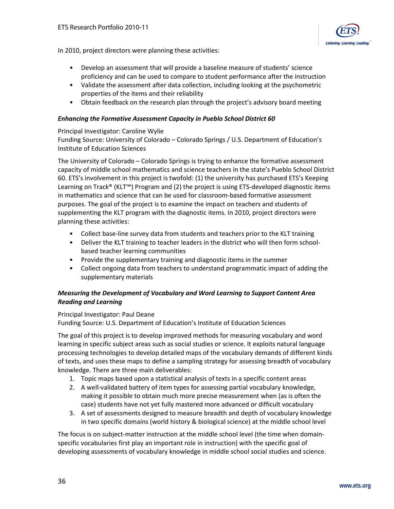

In 2010, project directors were planning these activities:

- Develop an assessment that will provide a baseline measure of students' science proficiency and can be used to compare to student performance after the instruction
- Validate the assessment after data collection, including looking at the psychometric properties of the items and their reliability
- Obtain feedback on the research plan through the project's advisory board meeting

#### *Enhancing the Formative Assessment Capacity in Pueblo School District 60*

#### Principal Investigator: Caroline Wylie

Funding Source: University of Colorado – Colorado Springs / U.S. Department of Education's Institute of Education Sciences

The University of Colorado – Colorado Springs is trying to enhance the formative assessment capacity of middle school mathematics and science teachers in the state's Pueblo School District 60. ETS's involvement in this project is twofold: (1) the university has purchased ETS's Keeping Learning on Track® (KLT™) Program and (2) the project is using ETS-developed diagnostic items in mathematics and science that can be used for classroom-based formative assessment purposes. The goal of the project is to examine the impact on teachers and students of supplementing the KLT program with the diagnostic items. In 2010, project directors were planning these activities:

- Collect base-line survey data from students and teachers prior to the KLT training
- Deliver the KLT training to teacher leaders in the district who will then form schoolbased teacher learning communities
- Provide the supplementary training and diagnostic items in the summer
- Collect ongoing data from teachers to understand programmatic impact of adding the supplementary materials

#### *Measuring the Development of Vocabulary and Word Learning to Support Content Area Reading and Learning*

#### Principal Investigator: Paul Deane

Funding Source: U.S. Department of Education's Institute of Education Sciences

The goal of this project is to develop improved methods for measuring vocabulary and word learning in specific subject areas such as social studies or science. It exploits natural language processing technologies to develop detailed maps of the vocabulary demands of different kinds of texts, and uses these maps to define a sampling strategy for assessing breadth of vocabulary knowledge. There are three main deliverables:

- 1. Topic maps based upon a statistical analysis of texts in a specific content areas
- 2. A well-validated battery of item types for assessing partial vocabulary knowledge, making it possible to obtain much more precise measurement when (as is often the case) students have not yet fully mastered more advanced or difficult vocabulary
- 3. A set of assessments designed to measure breadth and depth of vocabulary knowledge in two specific domains (world history & biological science) at the middle school level

The focus is on subject-matter instruction at the middle school level (the time when domainspecific vocabularies first play an important role in instruction) with the specific goal of developing assessments of vocabulary knowledge in middle school social studies and science.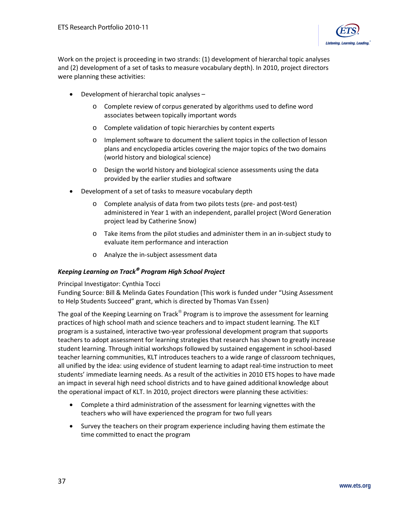

Work on the project is proceeding in two strands: (1) development of hierarchal topic analyses and (2) development of a set of tasks to measure vocabulary depth). In 2010, project directors were planning these activities:

- Development of hierarchal topic analyses
	- o Complete review of corpus generated by algorithms used to define word associates between topically important words
	- o Complete validation of topic hierarchies by content experts
	- o Implement software to document the salient topics in the collection of lesson plans and encyclopedia articles covering the major topics of the two domains (world history and biological science)
	- o Design the world history and biological science assessments using the data provided by the earlier studies and software
- Development of a set of tasks to measure vocabulary depth
	- o Complete analysis of data from two pilots tests (pre- and post-test) administered in Year 1 with an independent, parallel project (Word Generation project lead by Catherine Snow)
	- o Take items from the pilot studies and administer them in an in-subject study to evaluate item performance and interaction
	- o Analyze the in-subject assessment data

#### *Keeping Learning on Track Program High School Project*

Principal Investigator: Cynthia Tocci

Funding Source: Bill & Melinda Gates Foundation (This work is funded under "Using Assessment to Help Students Succeed" grant, which is directed by Thomas Van Essen)

The goal of the Keeping Learning on Track<sup>®</sup> Program is to improve the assessment for learning practices of high school math and science teachers and to impact student learning. The KLT program is a sustained, interactive two-year professional development program that supports teachers to adopt assessment for learning strategies that research has shown to greatly increase student learning. Through initial workshops followed by sustained engagement in school-based teacher learning communities, KLT introduces teachers to a wide range of classroom techniques, all unified by the idea: using evidence of student learning to adapt real-time instruction to meet students' immediate learning needs. As a result of the activities in 2010 ETS hopes to have made an impact in several high need school districts and to have gained additional knowledge about the operational impact of KLT. In 2010, project directors were planning these activities:

- Complete a third administration of the assessment for learning vignettes with the teachers who will have experienced the program for two full years
- Survey the teachers on their program experience including having them estimate the time committed to enact the program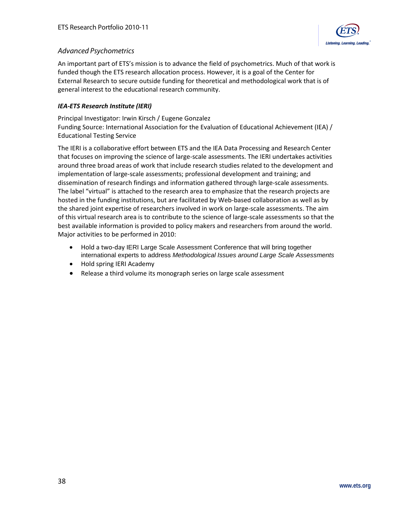

## <span id="page-37-0"></span>*Advanced Psychometrics*

An important part of ETS's mission is to advance the field of psychometrics. Much of that work is funded though the ETS research allocation process. However, it is a goal of the Center for External Research to secure outside funding for theoretical and methodological work that is of general interest to the educational research community.

#### *IEA-ETS Research Institute (IERI)*

Principal Investigator: Irwin Kirsch / Eugene Gonzalez

Funding Source: International Association for the Evaluation of Educational Achievement (IEA) / Educational Testing Service

The IERI is a collaborative effort between ETS and the IEA Data Processing and Research Center that focuses on improving the science of large-scale assessments. The IERI undertakes activities around three broad areas of work that include research studies related to the development and implementation of large-scale assessments; professional development and training; and dissemination of research findings and information gathered through large-scale assessments. The label "virtual" is attached to the research area to emphasize that the research projects are hosted in the funding institutions, but are facilitated by Web-based collaboration as well as by the shared joint expertise of researchers involved in work on large-scale assessments. The aim of this virtual research area is to contribute to the science of large-scale assessments so that the best available information is provided to policy makers and researchers from around the world. Major activities to be performed in 2010:

- Hold a two-day IERI Large Scale Assessment Conference that will bring together international experts to address *Methodological Issues around Large Scale Assessments*
- Hold spring IERI Academy
- Release a third volume its monograph series on large scale assessment